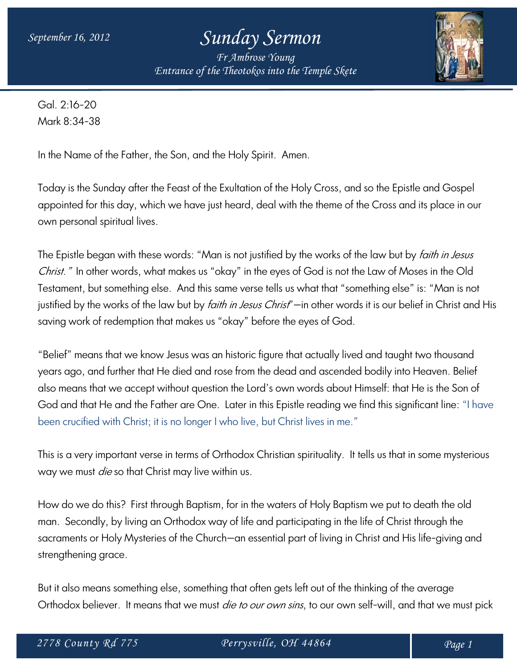*Fr Ambrose Young Entrance of the Theotokos into the Temple Skete*



Gal. 2:16-20 Mark 8:34-38

In the Name of the Father, the Son, and the Holy Spirit. Amen.

Today is the Sunday after the Feast of the Exultation of the Holy Cross, and so the Epistle and Gospel appointed for this day, which we have just heard, deal with the theme of the Cross and its place in our own personal spiritual lives.

The Epistle began with these words: "Man is not justified by the works of the law but by *faith in Jesus* Christ." In other words, what makes us "okay" in the eyes of God is not the Law of Moses in the Old Testament, but something else. And this same verse tells us what that "something else" is: "Man is not justified by the works of the law but by *faith in Jesus Christ*"—in other words it is our belief in Christ and His saving work of redemption that makes us "okay" before the eyes of God.

"Belief" means that we know Jesus was an historic figure that actually lived and taught two thousand years ago, and further that He died and rose from the dead and ascended bodily into Heaven. Belief also means that we accept without question the Lord's own words about Himself: that He is the Son of God and that He and the Father are One. Later in this Epistle reading we find this significant line: "I have been crucified with Christ; it is no longer I who live, but Christ lives in me."

This is a very important verse in terms of Orthodox Christian spirituality. It tells us that in some mysterious way we must *die* so that Christ may live within us.

How do we do this? First through Baptism, for in the waters of Holy Baptism we put to death the old man. Secondly, by living an Orthodox way of life and participating in the life of Christ through the sacraments or Holy Mysteries of the Church—an essential part of living in Christ and His life-giving and strengthening grace.

But it also means something else, something that often gets left out of the thinking of the average Orthodox believer. It means that we must *die to our own sins*, to our own self-will, and that we must pick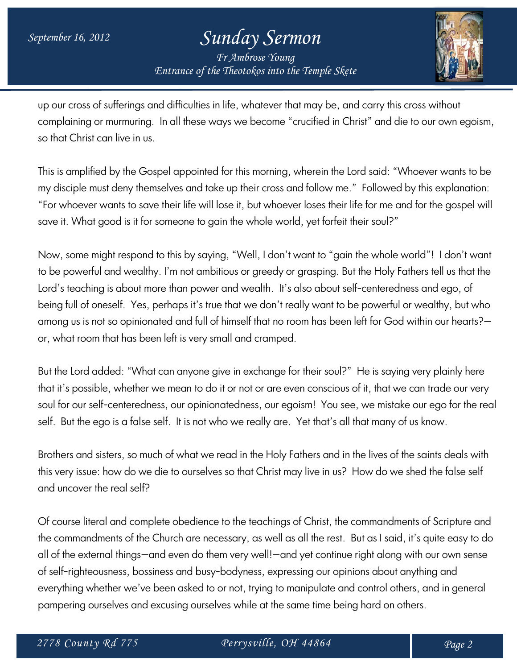*Fr Ambrose Young Entrance of the Theotokos into the Temple Skete*



up our cross of sufferings and difficulties in life, whatever that may be, and carry this cross without complaining or murmuring. In all these ways we become "crucified in Christ" and die to our own egoism, so that Christ can live in us.

This is amplified by the Gospel appointed for this morning, wherein the Lord said: "Whoever wants to be my disciple must deny themselves and take up their cross and follow me." Followed by this explanation: "For whoever wants to save their life will lose it, but whoever loses their life for me and for the gospel will save it. What good is it for someone to gain the whole world, yet forfeit their soul?"

Now, some might respond to this by saying, "Well, I don't want to "gain the whole world"! I don't want to be powerful and wealthy. I'm not ambitious or greedy or grasping. But the Holy Fathers tell us that the Lord's teaching is about more than power and wealth. It's also about self-centeredness and ego, of being full of oneself. Yes, perhaps it's true that we don't really want to be powerful or wealthy, but who among us is not so opinionated and full of himself that no room has been left for God within our hearts? or, what room that has been left is very small and cramped.

But the Lord added: "What can anyone give in exchange for their soul?" He is saying very plainly here that it's possible, whether we mean to do it or not or are even conscious of it, that we can trade our very soul for our self-centeredness, our opinionatedness, our egoism! You see, we mistake our ego for the real self. But the ego is a false self. It is not who we really are. Yet that's all that many of us know.

Brothers and sisters, so much of what we read in the Holy Fathers and in the lives of the saints deals with this very issue: how do we die to ourselves so that Christ may live in us? How do we shed the false self and uncover the real self?

Of course literal and complete obedience to the teachings of Christ, the commandments of Scripture and the commandments of the Church are necessary, as well as all the rest. But as I said, it's quite easy to do all of the external things—and even do them very well!—and yet continue right along with our own sense of self-righteousness, bossiness and busy-bodyness, expressing our opinions about anything and everything whether we've been asked to or not, trying to manipulate and control others, and in general pampering ourselves and excusing ourselves while at the same time being hard on others.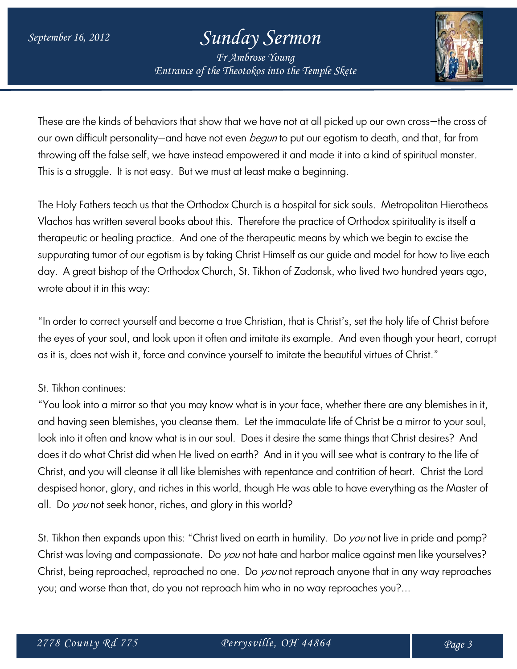*Fr Ambrose Young Entrance of the Theotokos into the Temple Skete*



These are the kinds of behaviors that show that we have not at all picked up our own cross—the cross of our own difficult personality—and have not even *begun* to put our egotism to death, and that, far from throwing off the false self, we have instead empowered it and made it into a kind of spiritual monster. This is a struggle. It is not easy. But we must at least make a beginning.

The Holy Fathers teach us that the Orthodox Church is a hospital for sick souls. Metropolitan Hierotheos Vlachos has written several books about this. Therefore the practice of Orthodox spirituality is itself a therapeutic or healing practice. And one of the therapeutic means by which we begin to excise the suppurating tumor of our egotism is by taking Christ Himself as our guide and model for how to live each day. A great bishop of the Orthodox Church, St. Tikhon of Zadonsk, who lived two hundred years ago, wrote about it in this way:

"In order to correct yourself and become a true Christian, that is Christ's, set the holy life of Christ before the eyes of your soul, and look upon it often and imitate its example. And even though your heart, corrupt as it is, does not wish it, force and convince yourself to imitate the beautiful virtues of Christ."

#### St. Tikhon continues:

"You look into a mirror so that you may know what is in your face, whether there are any blemishes in it, and having seen blemishes, you cleanse them. Let the immaculate life of Christ be a mirror to your soul, look into it often and know what is in our soul. Does it desire the same things that Christ desires? And does it do what Christ did when He lived on earth? And in it you will see what is contrary to the life of Christ, and you will cleanse it all like blemishes with repentance and contrition of heart. Christ the Lord despised honor, glory, and riches in this world, though He was able to have everything as the Master of all. Do you not seek honor, riches, and glory in this world?

St. Tikhon then expands upon this: "Christ lived on earth in humility. Do you not live in pride and pomp? Christ was loving and compassionate. Do you not hate and harbor malice against men like yourselves? Christ, being reproached, reproached no one. Do you not reproach anyone that in any way reproaches you; and worse than that, do you not reproach him who in no way reproaches you?...